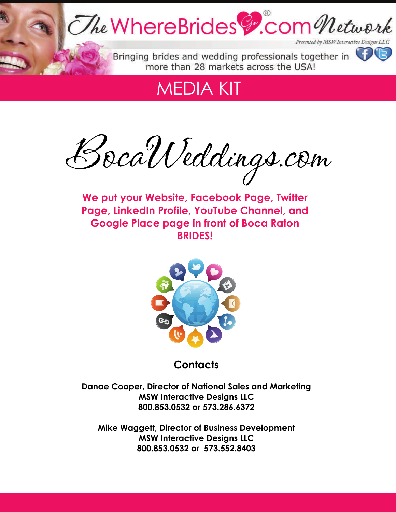

## MEDIA KIT

BocaWeddings.com

**We put your Website, Facebook Page, Twitter Page, LinkedIn Profile, YouTube Channel, and Google Place page in front of Boca Raton BRIDES!** 



**Contacts** 

**Danae Cooper, Director of National Sales and Marketing MSW Interactive Designs LLC 800.853.0532 or 573.286.6372** 

**Mike Waggett, Director of Business Development MSW Interactive Designs LLC 800.853.0532 or 573.552.8403**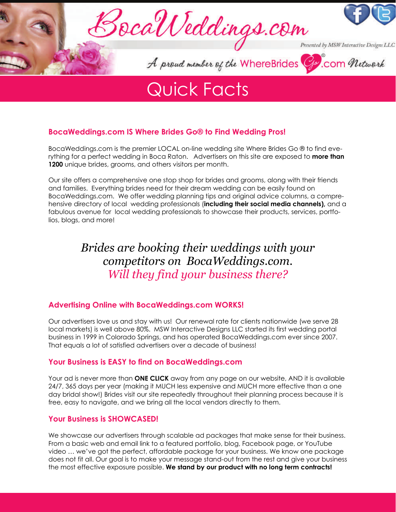

## Quick Facts

## **BocaWeddings.com IS Where Brides Go® to Find Wedding Pros!**

BocaWeddings.com is the premier LOCAL on-line wedding site Where Brides Go ® to find everything for a perfect wedding in Boca Raton. Advertisers on this site are exposed to **more than 1200** unique brides, grooms, and others visitors per month.

Our site offers a comprehensive one stop shop for brides and grooms, along with their friends and families. Everything brides need for their dream wedding can be easily found on BocaWeddings.com. We offer wedding planning tips and original advice columns, a comprehensive directory of local wedding professionals (**including their social media channels),** and a fabulous avenue for local wedding professionals to showcase their products, services, portfolios, blogs, and more!

## *Brides are booking their weddings with your competitors on BocaWeddings.com. Will they find your business there?*

### **Advertising Online with BocaWeddings.com WORKS!**

Our advertisers love us and stay with us! Our renewal rate for clients nationwide (we serve 28 local markets) is well above 80%. MSW Interactive Designs LLC started its first wedding portal business in 1999 in Colorado Springs, and has operated BocaWeddings.com ever since 2007. That equals a lot of satisfied advertisers over a decade of business!

### **Your Business is EASY to find on BocaWeddings.com**

Your ad is never more than **ONE CLICK** away from any page on our website, AND it is available 24/7, 365 days per year (making it MUCH less expensive and MUCH more effective than a one day bridal show!) Brides visit our site repeatedly throughout their planning process because it is free, easy to navigate, and we bring all the local vendors directly to them.

### **Your Business is SHOWCASED!**

We showcase our advertisers through scalable ad packages that make sense for their business. From a basic web and email link to a featured portfolio, blog, Facebook page, or YouTube video … we've got the perfect, affordable package for your business. We know one package does not fit all. Our goal is to make your message stand-out from the rest and give your business the most effective exposure possible. **We stand by our product with no long term contracts!**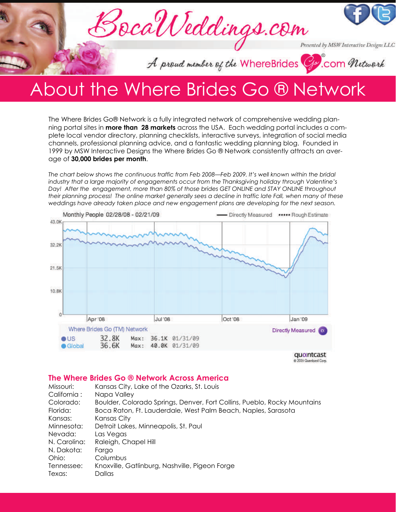

## About the Where Brides Go ® Network

The Where Brides Go® Network is a fully integrated network of comprehensive wedding planning portal sites in **more than 28 markets** across the USA. Each wedding portal includes a complete local vendor directory, planning checklists, interactive surveys, integration of social media channels, professional planning advice, and a fantastic wedding planning blog. Founded in 1999 by MSW Interactive Designs the Where Brides Go ® Network consistently attracts an average of **30,000 brides per month**.

*The chart below shows the continuous traffic from Feb 2008—Feb 2009. It's well known within the bridal industry that a large majority of engagements occur from the Thanksgiving holiday through Valentine's Day! After the engagement, more than 80% of those brides GET ONLINE and STAY ONLINE throughout their planning process! The online market generally sees a decline in traffic late Fall, when many of these weddings have already taken place and new engagement plans are developing for the next season.*



@ 2009 Quantcast Corp.

### **The Where Brides Go ® Network Across America**

| Missouri:    | Kansas City, Lake of the Ozarks, St. Louis                               |
|--------------|--------------------------------------------------------------------------|
| California:  | Napa Valley                                                              |
| Colorado:    | Boulder, Colorado Springs, Denver, Fort Collins, Pueblo, Rocky Mountains |
| Florida:     | Boca Raton, Ft. Lauderdale, West Palm Beach, Naples, Sarasota            |
| Kansas:      | Kansas City                                                              |
| Minnesota:   | Detroit Lakes, Minneapolis, St. Paul                                     |
| Nevada:      | Las Vegas                                                                |
| N. Carolina: | Raleigh, Chapel Hill                                                     |
| N. Dakota:   | Fargo                                                                    |
| Ohio:        | Columbus                                                                 |
| Tennessee:   | Knoxville, Gatlinburg, Nashville, Pigeon Forge                           |
| Texas:       | Dallas                                                                   |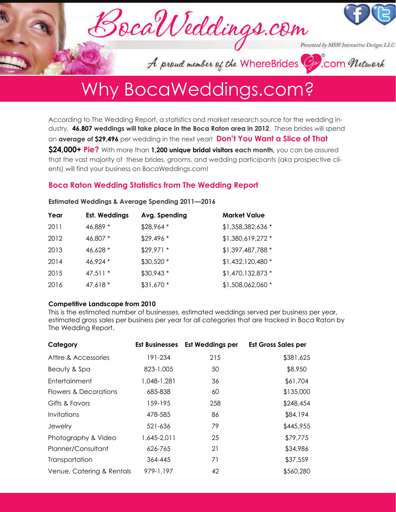

A proud member of the WhereBrides Cp. com Network

## Why BocaWeddings.com?

According to The Wedding Report, a statistics and market research source for the wedding industry, **46,807 weddings will take place in the Boca Raton area in 2012**. These brides will spend an **average of \$29,496** per wedding in the next year! **Don't You Want a Slice of That \$24,000+ Pie?** With more than **1,200 unique bridal visitors each month,** you can be assured that the vast majority of these brides, grooms, and wedding participants (aka prospective clients) will find your business on BocaWeddings.com!

## **Boca Raton Wedding Statistics from The Wedding Report**

| Year | <b>Est. Weddings</b> | Avg. Spending | <b>Market Value</b> |
|------|----------------------|---------------|---------------------|
| 2011 | 46,889 *             | $$28,964$ *   | \$1,358,382,636 *   |
| 2012 | 46,807 *             | $$29,496*$    | \$1,380,619,272 *   |
| 2013 | 46,628 *             | $$29,971$ *   | \$1,397,487,788 *   |
| 2014 | 46,924 *             | \$30,520 *    | \$1,432,120,480 *   |
| 2015 | $47,511*$            | $$30,943$ *   | \$1,470,132,873 *   |
| 2016 | 47,618 *             | \$31,670 *    | \$1,508,062,060 *   |

#### **Estimated Weddings & Average Spending 2011—2016**

#### **Competitive Landscape from 2010**

This is the estimated number of businesses, estimated weddings served per business per year, estimated gross sales per business per year for all categories that are tracked in Boca Raton by The Wedding Report.

| Category                  | <b>Est Businesses</b> | <b>Est Weddings per</b> | <b>Est Gross Sales per</b> |
|---------------------------|-----------------------|-------------------------|----------------------------|
| Attire & Accessories      | 191-234               | 215                     | \$381,625                  |
| Beauty & Spa              | 823-1,005             | 50                      | \$8,950                    |
| Entertainment             | 1,048-1,281           | 36                      | \$61,704                   |
| Flowers & Decorations     | 685-838               | 60                      | \$135,000                  |
| Gifts & Favors            | 159-195               | 258                     | \$248,454                  |
| Invitations               | 478-585               | 86                      | \$84,194                   |
| Jewelry                   | 521-636               | 79                      | \$445,955                  |
| Photography & Video       | 1,645-2,011           | 25                      | \$79,775                   |
| Planner/Consultant        | 626-765               | 21                      | \$34,986                   |
| Transportation            | 364-445               | 71                      | \$37,559                   |
| Venue, Catering & Rentals | 979-1,197             | 42                      | \$560,280                  |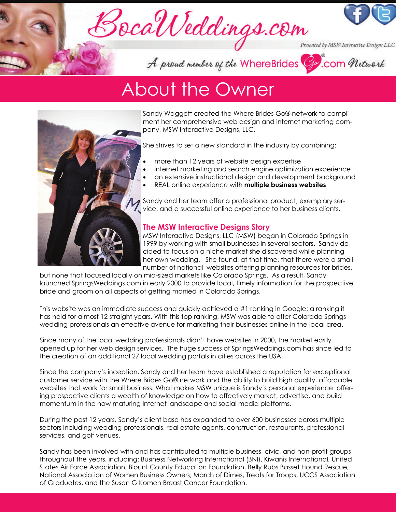



Presented by MSW Interactive Designs LLC

A proud member of the WhereBrides G. com Network

## About the Owner



Sandy Waggett created the Where Brides Go® network to compliment her comprehensive web design and internet marketing company, MSW Interactive Designs, LLC.

She strives to set a new standard in the industry by combining:

- more than 12 years of website design expertise
- internet marketing and search engine optimization experience
- an extensive instructional design and development background
- REAL online experience with **multiple business websites**

Sandy and her team offer a professional product, exemplary service, and a successful online experience to her business clients.

### **The MSW Interactive Designs Story**

MSW Interactive Designs, LLC (MSW) began in Colorado Springs in 1999 by working with small businesses in several sectors. Sandy decided to focus on a niche market she discovered while planning her own wedding. She found, at that time, that there were a small number of national websites offering planning resources for brides,

but none that focused locally on mid-sized markets like Colorado Springs. As a result, Sandy launched SpringsWeddings.com in early 2000 to provide local, timely information for the prospective bride and groom on all aspects of getting married in Colorado Springs.

This website was an immediate success and quickly achieved a #1 ranking in Google; a ranking it has held for almost 12 straight years. With this top ranking, MSW was able to offer Colorado Springs wedding professionals an effective avenue for marketing their businesses online in the local area.

Since many of the local wedding professionals didn't have websites in 2000, the market easily opened up for her web design services. The huge success of SpringsWeddings.com has since led to the creation of an additional 27 local wedding portals in cities across the USA.

Since the company's inception, Sandy and her team have established a reputation for exceptional customer service with the Where Brides Go® network and the ability to build high quality, affordable websites that work for small business. What makes MSW unique is Sandy's personal experience offering prospective clients a wealth of knowledge on how to effectively market, advertise, and build momentum in the now maturing Internet landscape and social media platforms.

During the past 12 years, Sandy's client base has expanded to over 600 businesses across multiple sectors including wedding professionals, real estate agents, construction, restaurants, professional services, and golf venues.

Sandy has been involved with and has contributed to multiple business, civic, and non-profit groups throughout the years, including: Business Networking International (BNI), Kiwanis International, United States Air Force Association, Blount County Education Foundation, Belly Rubs Basset Hound Rescue, National Association of Women Business Owners, March of Dimes, Treats for Troops, UCCS Association of Graduates, and the Susan G Komen Breast Cancer Foundation.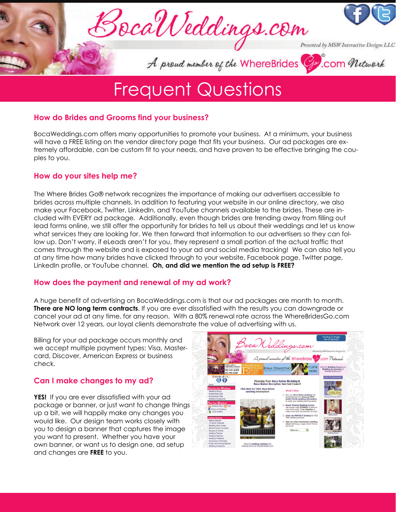

## Frequent Questions

### **How do Brides and Grooms find your business?**

BocaWeddings.com offers many opportunities to promote your business. At a minimum, your business will have a FREE listing on the vendor directory page that fits your business. Our ad packages are extremely affordable, can be custom fit to your needs, and have proven to be effective bringing the couples to you.

## **How do your sites help me?**

The Where Brides Go® network recognizes the importance of making our advertisers accessible to brides across multiple channels. In addition to featuring your website in our online directory, we also make your Facebook, Twitter, LinkedIn, and YouTube channels available to the brides. These are included with EVERY ad package. Additionally, even though brides are trending away from filling out lead forms online, we still offer the opportunity for brides to tell us about their weddings and let us know what services they are looking for. We then forward that information to our advertisers so they can follow up. Don't worry, if eLeads aren't for you, they represent a small portion of the actual traffic that comes through the website and is exposed to your ad and social media tracking! We can also tell you at any time how many brides have clicked through to your website, Facebook page, Twitter page, LinkedIn profile, or YouTube channel. **Oh, and did we mention the ad setup is FREE?**

## **How does the payment and renewal of my ad work?**

A huge benefit of advertising on BocaWeddings.com is that our ad packages are month to month. **There are NO long term contracts**. If you are ever dissatisfied with the results you can downgrade or cancel your ad at any time, for any reason. With a 80% renewal rate across the WhereBridesGo.com Network over 12 years, our loyal clients demonstrate the value of advertising with us.

Billing for your ad package occurs monthly and we accept multiple payment types: Visa, Mastercard, Discover, American Express or business check.

## **Can I make changes to my ad?**

**YES!** If you are ever dissatisfied with your ad package or banner, or just want to change things up a bit, we will happily make any changes you would like. Our design team works closely with you to design a banner that captures the image you want to present. Whether you have your own banner, or want us to design one, ad setup and changes are **FREE** to you.